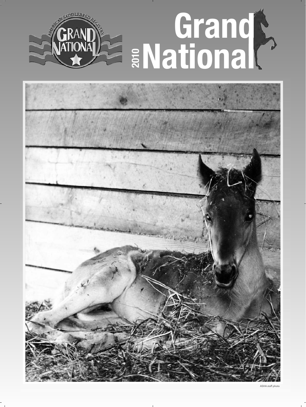



ASHA staff photo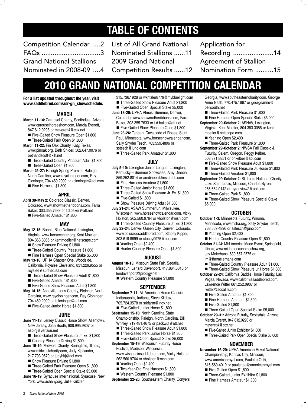### **TABLE OF CONTENTS**

Competition Calendar ....2 FAQs ................................3 Grand National Stallions Nominated in 2008-09 ....4

List of All Grand National Nominated Stallions ......11 2009 Grand National Competition Results ......12 Application for Recording ......................14 Agreement of Stallion Nomination Form ..........15

### **2010 GRAND NATIONAL COMPETITION CALENDAR**

**For a list updated throughout the year, visit www.saddlebred.com/asr-gn\_showschedule.**

#### **MARCH**

- **March 11-14:** Carousel Charity, Scottsdale, Arizona, www.carouselhorseshow.com, Marcia Everett, 847.612.0298 or meverett4@cox.net
	- Five-Gaited Show Pleasure Open \$1,800
	- Three-Gaited Park Open \$1,800
- **March 11-22:** Pin Oak Charity, Katy, Texas, www.pinoak.org, Beth Snider, 502.647.0076 or bethandscott@kih.net
	- Three-Gaited Country Pleasure Adult \$1,800
	- Three-Gaited Open \$1,800
- **March 25-27:** Raleigh Spring Premier, Raleigh, North Carolina, www.raycloninger.com, Ray Cloninger, 704.489.2000 or kcloninger@aol.com Fine Harness \$1,800

#### **APRIL**

- **April 30-May 2:** Colorado Classic, Denver, Colorado, www.showmetheribbons.com, Farra Baker, 303.355.7633 or f.d.baker@att.net
	- Five-Gaited Amateur \$1,800

#### **MAY**

- **May 12-15:** Bonnie Blue National, Lexington, Virginia, www.horsecenter.org, Kent Moeller, 804.363.3085 or kentmoeller@netscape.com
	- Show Pleasure Driving \$1,800
	- Three-Gaited Country Pleasure \$1,800
- Fine Harness Open Special Stake \$5,000
- **May 13-16:** UPHA Chapter One, Woodside, California, Royalee Cleveland, 831.229.9555 or royalee@surfnetusa.com
	- Three-Gaited Show Pleasure Adult \$1,800
	- Five-Gaited Amateur \$1,800
	- Five-Gaited Show Pleasure Adult \$1,800
- **May 14-15:** Asheville Lions Charity, Fletcher, North Carolina, www.raycloninger.com, Ray Cloninger, 704.489.2000 or kcloninger@aol.com ■ Five-Gaited Junior Horse \$1,800

#### **JUNE**

- **June 11-13:** Jersey Classic Horse Show, Allentown, New Jersey, Joan Booth, 908.995.9807 or asb.nj@verizon.net
- Three-Gaited Show Pleasure Jr. Ex. \$1,800 ■ Country Pleasure Driving \$1,800
- **June 15-19:** Midwest Charity, Springfield, Illinois, www.midwestcharity.com, Judy Kjellander,
	- 217.793.0670 or judybkj@aol.com
	- Show Pleasure Driving \$1,800
	- Three-Gaited Park Pleasure Open \$1,800 ■ Three-Gaited Open Special Stake \$5,000
- **June 16-19:** Syracuse International, Syracuse, New York, www.ashany.org, Julie Kritzler,
- 315.736.1928 or wkritzler8779@mybluelight.com
- Three-Gaited Show Pleasure Adult \$1,800 ■ Five-Gaited Open Special Stake \$5,000
- **June 18-20:** UPHA Almost Summer, Denver, Colorado, www.showmetheribbons.com, Farra Baker, 303.355.7633 or f.d.baker@att.net
- Five-Gaited Show Pleasure Open \$1,800 **June 23-26:** Tanbark Cavalcade of Roses, Saint Paul, Minnesota, www.horseshowcalendar.com, Sally Snyder Tesch, 763.559.4896 or sstesch@juno.com
	- Three-Gaited Park Amateur \$1,800

#### **JULY**

- **July 5-10:** Lexington Junior League, Lexington, Kentucky – Summer Showcase, Amy Dineen, 859.252.8014 or amdineen@insightbb.com
	- Fine Harness Amateur \$1,800
	- Three-Gaited Junior Horse \$1,800
	- Three-Gaited Show Pleasure Jr. Ex. \$1,800
	- Five-Gaited \$1,800
- Show Pleasure Driving Adult \$1,800
- **July 21-24:** ASAW Summerfun, Milwaukee, Wisconsin, www.horseshowcalendar.com, Vicky Holston, 262.560.9764 or vholston@msn.com
	- Three-Gaited Country Pleasure Jr. Ex. \$1,800
- **July 22-24:** Denver Queen City, Denver, Colorado, www.coloradosaddlebred.com, Stacey Kipper, 303.619.8699 or stacey0975@aol.com
	- Yearling Open \$2,400
	- Hunter Country Pleasure Open \$1,800

#### **AUGUST**

- **August 10-13:** Missouri State Fair, Sedalia, Missouri, Lenard Davenport, 417.864.5310 or lendavenport@prodigy.net
	- Western Country Pleasure \$1,800

#### **SEPTEMBER**

- **September 7-11:** All American Horse Classic, Indianapolis, Indiana, Steve Kildow, 705.724.3578 or srkfarm@indy.net
	- Five-Gaited Junior Horse \$1,800

**September 15-18:** North Carolina State Championship, Raleigh, North Carolina, Bill Whitley, 919.481.4675 or packwuf@att.net

- Three-Gaited Show Pleasure Adult \$1,800
- Three-Gaited Park Junior Horse \$1,800
- Five-Gaited Open Special Stake \$5,000 **September 15-19:** Wisconsin Futurity Horse

Festival, Madison, Wisconsin, www.wisconsinsaddlebred.com, Vicky Holston 262.560.9764 or vholston@msn.com

- Yearling Open \$2,400
- Two-Year-Old Fine Harness \$1,800
- Western Country Pleasure \$1,800
- **September 22-25:** Southeastern Charity, Conyers,
- Georgia, www.southeasterncharity.com, George Anne Nash, 770.475.1867 or georgeanne@ bellsouth.net
- Three-Gaited Park Pleasure \$1,800
- Fine Harness Open Special Stake \$5,000 **September 29-October 2:** ASHAV, Lexington,
	- Virginia, Kent Moeller, 804.363.3085 or kentmoeller@netscape.com
	- Yearling Open \$2,400
- Three-Gaited Park Pleasure \$1,800 **September 29-October 2:** NWSA Fall Classic & Futurity, Salem, Oregon, Peggy Kelber, 503.871.8851 or pnkelber@aol.com
	- Five-Gaited Show Pleasure Adult \$1,800
	- Three-Gaited Park Pleasure Jr. Horse \$1,800
	- Three-Gaited Amateur \$1,800
- **September 29-October 2:** St. Louis National Charity, Lake Saint Louis, Missouri, Charles Byron, 256.654.0142 or byronview2@aol.com
	- Three-Gaited Park \$1,800
	- Three-Gaited Show Pleasure Special Stake \$5,000

#### **OCTOBER**

- **October 1-3:** Minnesota Futurity, Winona, Minnesota, www.msha.org, Sally Snyder Tesch, 763.559.4896 or sstesch@juno.com
	-
	- Yearling Open \$2,400 Hunter Country Pleasure Open \$1,800
- **October 21-24:** Mid-America Mane Event, Springfield, Illinois, www.midamericahorseshow.org, Joy Meierhans, 630.557.2575 or
	- jm@themeierhans.com
	- **Three-Gaited Country Pleasure Adult \$1,800**
- Three-Gaited Show Pleasure Jr. Horse \$1,800
- **October 22-24:** California Saddle Horse Futurity, Las Vegas, Nevada, www.californiasaddlebred.com, Lawrence Witter 661.252.0907 or lwitter@socal.rr.com
	- Five-Gaited Amateur \$1,800
	- Fine Harness Amateur \$1,800
	- Five-Gaited \$1,800
	- Three-Gaited Open Special Stake \$5,000
- **October 29-31:** Arizona Futurity, Scottsdale, Arizona, Marcia Everett, 847.612.0298 or meverett4@cox.net
	-
	- Five-Gaited Junior Exhibitor \$1,800 ■ Three-Gaited Park Open Special Stake \$5,000
	-

#### **NOVEMBER**

**November 16-20:** UPHA American Royal National Championship, Kansas City, Missouri, www.americanroyal.com, Paulette Orth, 816-569-4019 or pauletteo@americanroyal.com

■ Three-Gaited Junior Exhibitor \$1,800 ■ Fine Harness Amateur \$1,800

Five-Gaited Open \$1,800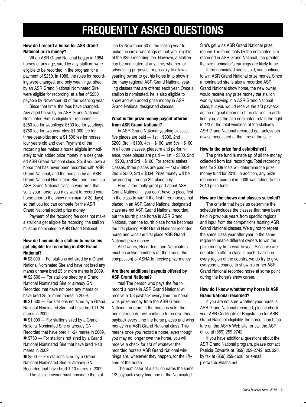### **FREQUENTLY ASKED QUESTIONS**

#### **How do I record a horse for ASR Grand National prize money?**

When ASR Grand National began in 1984, horses of any age, sired by any stallion, were eligible to be recorded in the program for a payment of \$250. In 1986, the rules for recording were changed, and only weanlings, sired by an ASR Grand National Nominated Sire were eligible for recording, at a fee of \$250, payable by November 30 of the weanling year.

Since that time, the fees have changed. Any aged horse by an ASR Grand National Nominated Sire is eligible for recording — \$250 fee for weanlings; \$500 fee for yearlings; \$750 fee for two-year-olds; \$1,000 fee for three-year-olds; and a \$1,500 fee for horses four years old and over. Payment of the recording fee makes a horse eligible immediately to win added prize money in a designated ASR Grand National class. So, if you own a horse that has never been recorded with ASR Grand National, and the horse is by an ASR Grand National Nominated Sire, and there is a ASR Grand National class in your area that suits your horse, you may want to record your horse prior to the show (minimum of 30 days) so that you too can compete for the ASR Grand National added prize money.

Payment of the recording fee does not make a stallion's get eligible for recording; the stallion must be nominated to ASR Grand National.

#### **How do I nominate a stallion to make his get eligible for recording in ASR Grand National?**

■ \$3,000 – For stallions not sired by a Grand National Nominated Sire and have not bred any mares or have bred 25 or more mares in 2009. ■ \$2,500 – For stallions sired by a Grand National Nominated Sire or already GN Recorded that have not bred any mares or have bred 25 or more mares in 2009. ■ \$1,500 – For stallions not sired by a Grand National Nominated Sire that have bred 11-24

mares in 2009. ■ \$1,000 – For stallions sired by a Grand

National Nominated Sire or already GN Recorded that have bred 11-24 mares in 2009. ■ \$750 - For stallions not sired by a Grand

National Nominated Sire that have bred 1-10 mares in 2009.

■ \$500 – For stallions sired by a Grand National Nominated Sire or already GN Recorded that have bred 1-10 mares in 2009.

The stallion owner must nominate the stal-

lion by November 30 of the foaling year to make the sire's weanlings of that year eligible at the \$250 recording fee. However, a stallion can be nominated at any time, whether for advertising purposes, or possibly to allow a yearling owner to get his horse in to show in the many regional ASR Grand National yearling classes that are offered each year. Once a stallion is nominated, he is also eligible to show and win added prize money in ASR Grand National designated classes.

#### **What is the prize money payout offered from ASR Grand National?**

In ASR Grand National yearling classes, five places are paid  $-$  1st = \$300, 2nd = \$200, 3rd = \$100, 4th = \$100, and 5th = \$100. In all other classes, pleasure and performance, three places are paid  $-$  1st = \$300, 2nd  $=$  \$200, and 3rd  $=$  \$100. For special stakes classes, three places are paid  $-1$ st = \$834,  $2nd = $500$ ,  $3rd = $334$ . Prize money will be awarded up through 8th place only.

Here is the really great part about ASR Grand National — you don't have to place first in the class to win! If the first three horses that placed in an ASR Grand National designated class are not ASR Grand National recorded, but the fourth place horse is ASR Grand National, then the fourth place horse becomes the first placing ASR Grand National recorded horse and wins the first place ASR Grand National prize money.

All Owners, Recorders, and Nominators must be active members (at the time of the competition) of ASHA to receive prize money.

#### **Are there additional payouts offered by ASR Grand National?**

Yes! The person who pays the fee to record a horse in ASR Grand National will receive a 1/3 payback every time the horse wins prize money from the ASR Grand National program. If the horse is sold, the original recorder will continue to receive this payback every time the horse places and wins money in a ASR Grand National class. This means once you record a horse, even though you may no longer own the horse, you will receive a check for 1/3 of whatever the recorded horse's ASR Grand National winnings are, whenever they happen, for the lifetime of the horse.

The nominator of a stallion earns the same 1/3 payback every time one of the Nominated

Sire's get wins ASR Grand National prize money. The more foals by the nominated sire recorded in ASR Grand National, the greater the sire nominator's earnings are likely to be.

If the nominated sire is sold, you continue to win ASR Grand National prize money. Since a nominated sire is also a recorded ASR Grand National show horse, the new owner would receive any prize money the stallion won by showing in a ASR Grand National class, but you would receive the 1/3 payback as the original recorder of the stallion. In addition, you, as the sire nominator, retain the right to 1/3 of the total winnings of the stallion's ASR Grand National recorded get, unless otherwise negotiated at the time of the sale.

#### **How is the prize fund established?**

The prize fund is made up of all the money collected from foal recordings. Total recording fees for 2009 foals will determine the prize money fund for 2010. In addition, any prize money not paid out in 2009 was added to the 2010 prize fund.

#### **How are the shows and classes selected?**

The criteria that helps us determine the schedule includes the classes that have been held in previous years from specific regions and input from the competitions hosting ASR Grand National classes. We try not to repeat the same class year after year in the same region to enable different owners to win the prize money from year to year. Since we are not able to offer a class in each division in every region of the country, we do try to give everyone a chance to show his or her ASR Grand National recorded horse at some point during the horse's show career.

#### **How do I know whether my horse is ASR Grand National recorded?**

If you are not sure whether your horse is ASR Grand National recorded, please check your ASR Certificate of Registration for ASR Grand National eligibility, the horse search feature on the ASHA Web site, or call the ASR office at (859) 259-2742.

If you have additional questions about the ASR Grand National program, please contact Patricia Edwards at (859) 259-2742, ext. 320, by fax at (859) 259-1628, or e-mail p.edwards@asha.net.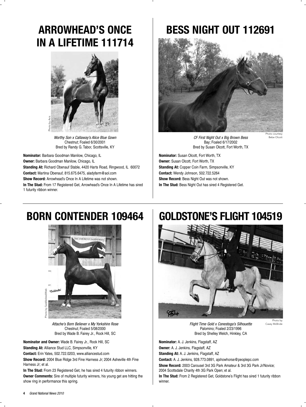### **ARROWHEAD'S ONCE IN A LIFETIME 111714**



*Worthy Son x Callaway's Alice Blue Gown* Chestnut; Foaled 6/30/2001 Bred by Randy G. Tabor, Scottsville, KY

**Nominator:** Barbara Goodman Manilow, Chicago, IL **Owner:** Barbara Goodman Manilow, Chicago, IL **Standing At:** Richard Obenauf Stable, 4420 Harts Road, Ringwood, IL 60072 **Contact:** Martina Obenauf, 815.675.6475, aladyfarm@aol.com **Show Record:** Arrowhead's Once In A Lifetime was not shown. **In The Stud:** From 17 Registered Get, Arrowhead's Once In A Lifetime has sired 1 futurity ribbon winner.

### **BESS NIGHT OUT 112691**



*CF First Night Out x Big Brown Bess* Bay; Foaled 6/17/2002 Bred by Susan Olcott, Fort Worth, TX

**Nominator:** Susan Olcott, Fort Worth, TX **Owner:** Susan Olcott, Fort Worth, TX **Standing At:** Copper Coin Farm, Simpsonville, KY **Contact:** Wendy Johnson, 502.722.5264 **Show Record:** Bess Night Out was not shown. **In The Stud:** Bess Night Out has sired 4 Registered Get.

### **BORN CONTENDER 109464**



*Attache's Born Believer x My Yorkshire Rose* Chestnut; Foaled 5/08/2000 Bred by Wade B. Fairey Jr., Rock Hill, SC

**Nominator and Owner:** Wade B. Fairey Jr., Rock Hill, SC **Standing At:** Alliance Stud LLC, Simpsonville, KY

**Contact:** Erin Yates, 502.722.0203, www.alliancestud.com

**Show Record:** 2004 Blue Ridge 3rd Fine Harness Jr; 2004 Asheville 4th Fine Harness Jr; et al.

**In The Stud:** From 23 Registered Get, he has sired 4 futurity ribbon winners. **Owner Comments:** Sire of multiple futurity winners, his young get are hitting the show ring in performance this spring.

### **GOLDSTONE'S FLIGHT 104519**



*Flight Time Gold x Conestoga's Silhouette* Palomino; Foaled 2/23/1996 Bred by Shelley Welch, Hinkley, CA

Photo by Casey McBride

Bebe Olcott

**Nominator:** A. J. Jenkins, Flagstaff, AZ

**Owner:** A. J. Jenkins, Flagstaff, AZ

**Standing At:** A. J. Jenkins, Flagstaff, AZ

**Contact:** A. J. Jenkins, 928.773.0891, ajshowhorse@peoplepc.com **Show Record:** 2003 Carousel 3rd 3G Park Amateur & 3rd 3G Park Jr/Novice;

2004 Scottsdale Charity 4th 3G Park Open; et al.

**In The Stud:** From 2 Registered Get, Goldstone's Flight has sired 1 futurity ribbon winner.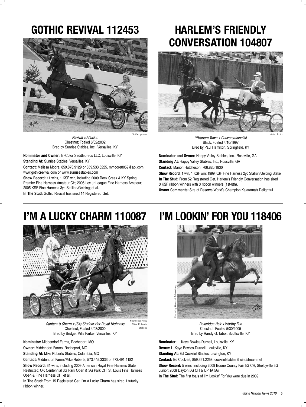### **GOTHIC REVIVAL 112453**



*Revival x Allusion* Chestnut; Foaled 6/02/2002 Bred by Sunrise Stables, Inc., Versailles, KY

**Nominator and Owner:** Tri-Color Saddlebreds LLC, Louisville, KY **Standing At:** Sunrise Stables, Versailles, KY

**Contact:** Melissa Moore, 859.873.9129 or 859.533.6225, mmoore8059@aol.com, www.gothicrevival.com or www.sunrisestables.com

**Show Record:** 11 wins, 1 KSF win, including 2009 Rock Creek & KY Spring Premier Fine Harness Amateur CH; 2006 Lex Jr League Fine Harness Amateur; 2005 KSF Fine Harness 3yo Stallion/Gelding; et al.

**In The Stud:** Gothic Revival has sired 14 Registered Get.

### **HARLEM'S FRIENDLY CONVERSATION 104807**



*CHHarlem Town x Conversationalist* Black; Foaled 4/10/1997 Bred by Paul Hamilton, Springfield, KY

**Nominator and Owner:** Happy Valley Stables, Inc., Rossville, GA **Standing At:** Happy Valley Stables, Inc., Rossville, GA **Contact:** Marion Hutcheson, 706.820.1830

**Show Record:** 1 win, 1 KSF win; 1999 KSF Fine Harness 2yo Stallion/Gelding Stake. **In The Stud:** From 52 Registered Get, Harlem's Friendly Conversation has sired 3 KSF ribbon winners with 3 ribbon winners (1st-8th). **Owner Comments:** Sire of Reserve World's Champion Kalarama's Delightful.

## **I'M A LUCKY CHARM 110087**



*Santana's Charm x (SA) Studcor Her Royal Highness* Chestnut; Foaled 4/08/2000 Bred by Bridget Mills Parker, Versailles, KY

Photo courtesy Mike Roberts Stables

**Nominator:** Middendorf Farms, Rocheport, MO **Owner:** Middendorf Farms, Rocheport, MO

**Standing At:** Mike Roberts Stables, Columbia, MO

**Contact:** Middendorf Farms/Mike Roberts, 573.445.3333 or 573.491.4182

**Show Record:** 34 wins, including 2009 American Royal Fine Harness State Restricted; OK Centennial 3G Park Open & 3G Park CH; St. Louis Fine Harness Open & Fine Harness CH; et al.

**In The Stud:** From 15 Registered Get, I'm A Lucky Charm has sired 1 futurity ribbon winner.

### **I'M LOOKIN' FOR YOU 118406**



*Roseridge Heir x Worthy Fun* Chestnut; Foaled 5/30/2005 Bred by Randy G. Tabor, Scottsville, KY

**Nominator:** L. Kaye Bowles-Durnell, Louisville, KY **Owner:** L. Kaye Bowles-Durnell, Louisville, KY

**Standing At:** Ed Cockriel Stables, Lexington, KY

**Contact:** Ed Cockriel, 859.351.2258, cockrielstables@windstream.net

**Show Record:** 5 wins, including 2009 Boone County Fair 5G CH; Shelbyville 5G Junior; 2008 Dayton 5G CH & UPHA 5G.

**In The Stud:** The first foals of I'm Lookin' For You were due in 2009.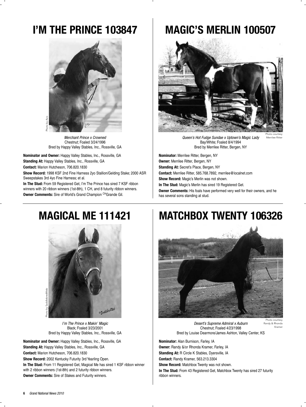### **I'M THE PRINCE 103847**



*Merchant Prince x Crowned* Chestnut; Foaled 3/24/1996 Bred by Happy Valley Stables, Inc., Rossville, GA

**Nominator and Owner:** Happy Valley Stables, Inc., Rossville, GA **Standing At:** Happy Valley Stables, Inc., Rossville, GA **Contact:** Marion Hutcheson, 706.820.1830

**Show Record:** 1998 KSF 2nd Fine Harness 2yo Stallion/Gelding Stake; 2000 ASR Sweepstakes 3rd 4yo Fine Harness; et al.

**In The Stud:** From 59 Registered Get, I'm The Prince has sired 7 KSF ribbon winners with 20 ribbon winners (1st-8th), 1 CH, and 8 futurity ribbon winners. **Owner Comments:** Sire of World's Grand Champion CHGrande Gil.

### **MAGIC'S MERLIN 100507**



*Queen's Hot Fudge Sundae x Uptown's Magic Lady* Bay/White; Foaled 8/4/1994 Bred by Merrilee Ritter, Bergen, NY

Photo courtesy Merrilee Ritter

Krame

**Nominator:** Merrilee Ritter, Bergen, NY **Owner:** Merrilee Ritter, Bergen, NY **Standing At:** Secret's Place, Bergen, NY **Contact:** Merrilee Ritter, 585.768.7892, merrilee@localnet.com **Show Record:** Magic's Merlin was not shown. **In The Stud:** Magic's Merlin has sired 19 Registered Get. **Owner Comments:** His foals have performed very well for their owners, and he has several sons standing at stud.

### **MAGICAL ME 111421**



*I'm The Prince x Makin' Magic* Black; Foaled 3/23/2001 Bred by Happy Valley Stables, Inc., Rossville, GA

**Nominator and Owner:** Happy Valley Stables, Inc., Rossville, GA **Standing At:** Happy Valley Stables, Inc., Rossville, GA **Contact:** Marion Hutcheson, 706.820.1830

**Show Record:** 2002 Kentucky Futurity 3rd Yearling Open. **In The Stud:** From 11 Registered Get, Magical Me has sired 1 KSF ribbon winner with 2 ribbon winners (1st-8th) and 2 futurity ribbon winners. **Owner Comments:** Sire of Stakes and Futurity winners.

### **MATCHBOX TWENTY 106326**



*Desert's Supreme Admiral x Auburn* Chestnut; Foaled 4/23/1998 Bred by Louise Dearmore/James Ashton, Valley Center, KS Randy & Rhonda

**Nominator:** Alan Burnison, Farley, IA **Owner:** Randy &/or Rhonda Kramer, Farley, IA **Standing At:** R Circle K Stables, Dyersville, IA **Contact:** Randy Kramer, 563.213.3304 **Show Record:** Matchbox Twenty was not shown. **In The Stud:** From 43 Registered Get, Matchbox Twenty has sired 27 futurity ribbon winners.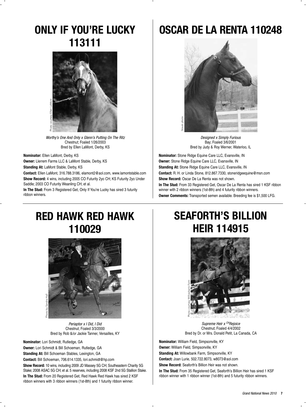### **ONLY IF YOU'RE LUCKY 113111**



*Worthy's One And Only x Glenn's Putting On The Ritz* Chestnut; Foaled 1/26/2003 Bred by Ellen LaMont, Derby, KS

**Nominator:** Ellen LaMont, Derby, KS

**Owner:** Llerrem Farms LLC & LaMont Stable, Derby, KS

**Standing At:** LaMont Stable, Derby, KS

**Contact:** Ellen LaMont, 316.788.3186, elamont2@aol.com, www.lamontstable.com **Show Record:** 4 wins, including 2005 CO Futurity 2yo CH; KS Futurity 2yo Under Saddle; 2003 CO Futurity Weanling CH; et al.

**In The Stud:** From 3 Registered Get, Only If You're Lucky has sired 3 futurity ribbon winners.

### **OSCAR DE LA RENTA 110248**



*Designed x Simply Furious* Bay; Foaled 3/6/2001 Bred by Judy & Roy Werner, Waterloo, IL

**Nominator:** Stone Ridge Equine Care LLC, Evansville, IN **Owner:** Stone Ridge Equine Care LLC, Evansville, IN **Standing At:** Stone Ridge Equine Care LLC, Evansville, IN **Contact:** R. H. or Linda Stone, 812.867.7330, stoneridgeequine@msn.com **Show Record:** Oscar De La Renta was not shown. **In The Stud:** From 33 Registered Get, Oscar De La Renta has sired 1 KSF ribbon winner with 2 ribbon winners (1st-8th) and 4 futurity ribbon winners.

**Owner Comments:** Transported semen available. Breeding fee is \$1,500 LFG.

### **RED HAWK RED HAWK 110029**



*Periaptor x I Did, I Did* Chestnut; Foaled 3/3/2000 Bred by Rob &/or Jackie Tanner, Versailles, KY

**Nominator:** Lori Schmidt, Rutledge, GA

**Owner:** Lori Schmidt & Bill Schoeman, Rutledge, GA

**Standing At:** Bill Schoeman Stables, Lexington, GA

**Contact:** Bill Schoeman, 706.614.1335, lori.schmidt@hp.com

**Show Record:** 10 wins, including 2009 JD Massey 5G CH; Southeastern Charity 5G Stake; 2008 ASAC 5G CH; et al. 5 reserves, including 2008 KSF 2nd 5G Stallion Stake. **In The Stud:** From 20 Registered Get, Red Hawk Red Hawk has sired 2 KSF ribbon winners with 3 ribbon winners (1st-8th) and 1 futurity ribbon winner.

### **SEAFORTH'S BILLION HEIR 114915**



*Supreme Heir x CHRejoice* Chestnut; Foaled 4/4/2002 Bred by Dr. or Mrs. Donald Petit, La Canada, CA

**Nominator:** William Field, Simpsonville, KY **Owner:** William Field, Simpsonville, KY **Standing At:** Willowbank Farm, Simpsonville, KY **Contact:** Joan Lurie, 502.722.8073, w8073@aol.com **Show Record:** Seaforth's Billion Heir was not shown. **In The Stud:** From 35 Registered Get, Seaforth's Billion Heir has sired 1 KSF ribbon winner with 1 ribbon winner (1st-8th) and 5 futurity ribbon winners.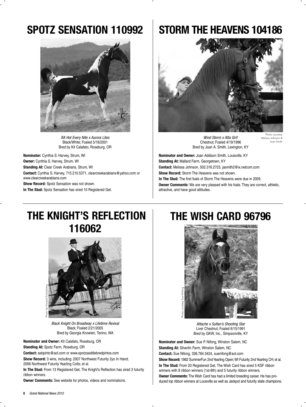### **SPOTZ SENSATION 110992**



*RA Hot Every Nite x Aurora Lites* Black/White; Foaled 5/18/2001 Bred by Kit Calafato, Roseburg, OR

**Nominator:** Cynthia S. Harvey, Strum, WI **Owner:** Cynthia S. Harvey, Strum, WI **Standing At:** Clear Creek Arabians, Strum, WI **Contact:** Cynthia S. Harvey, 715.210.5371, clearcreekarabians@yahoo.com or www.clearcreekarabians.com

**Show Record:** Spotz Sensation was not shown.

**In The Stud:** Spotz Sensation has sired 10 Registered Get.

### **STORM THE HEAVENS 104186**



*Wind Storm x Atta Girl!* Chestnut; Foaled 4/19/1996 Bred by Joan A. Smith, Lexington, KY

Photo courtesy Melissa Johnson & Joan Smith

**Nominator and Owner:** Joan Addison Smith, Louisville, KY **Standing At:** Mallard Farm, Georgetown, KY **Contact:** Melissa Johnson, 502.316.2723, jasmith2@ix.netcom.com **Show Record:** Storm The Heavens was not shown. **In The Stud:** The first foals of Storm The Heavens were due in 2009. **Owner Comments:** We are very pleased with his foals. They are correct, athletic, attractive, and have good attitudes.

### **THE KNIGHT'S REFLECTION 116062**



*Black Knight On Broadway x Lifetime Revival* Black; Foaled 2/21/2005 Bred by Georgia Knowlen, Tenino, WA

**Nominator and Owner:** Kit Calafato, Roseburg, OR

**Standing At:** Spotz Farm, Roseburg, OR

**Contact:** asbpinto@aol.com or www.spotzsaddlebredpintos.com

**Show Record:** 3 wins, including: 2007 Northwest Futurity 2yo In Hand; 2006 Northwest Futurity Yearling Colts; et al.

**In The Stud:** From 13 Registered Get, The Knight's Reflection has sired 3 futurity ribbon winners.

**Owner Comments:** See website for photos, videos and nominations.

### **THE WISH CARD 96796**



*Attache x Sultan's Shooting Star* Liver Chestnut; Foaled 6/15/1991 Bred by GKW, Inc., Simpsonville, KY

**Nominator and Owner:** Sue P. Nifong, Winston Salem, NC **Standing At:** Silverlin Farm, Winston Salem, NC **Contact:** Sue Nifong, 336.764.3424, suenifong@aol.com **Show Record:** 1992 SummerFun 2nd Yearling Open; WI Futurity 2nd Yearling CH; et al. **In The Stud:** From 20 Registered Get, The Wish Card has sired 5 KSF ribbon winners with 8 ribbon winners (1st-8th) and 5 futurity ribbon winners. **Owner Comments:** The Wish Card has had a limited breeding career. He has produced top ribbon winners at Louisville as well as Jackpot and futurity state champions.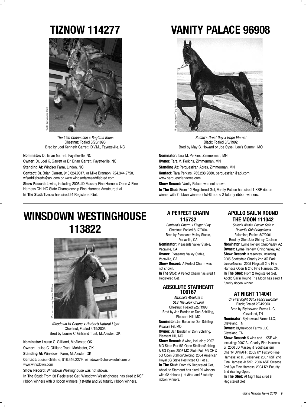### **TIZNOW 114277**



*The Irish Connection x Ragtime Blues* Chestnut; Foaled 3/25/1996 Bred by Joel Kenneth Garrett, D.V.M., Fayetteville, NC

**Nominator:** Dr. Brian Garrett, Fayetteville, NC **Owner:** Dr. Joel K. Garrett or Dr. Brian Garrett, Fayetteville, NC **Standing At:** Windsor Farm, Linden, NC **Contact:** Dr. Brian Garrett, 910.624.9017, or Mike Brannon, 724.344.2750, wfsaddlebreds@aol.com or www.windsorfarmsaddlebred.com **Show Record:** 4 wins, including 2006 JD Massey Fine Harness Open & Fine Harness CH; NC State Championship Fine Harness Amateur; et al. **In The Stud:** Tiznow has sired 24 Registered Get.

### **VANITY PALACE 96908**



*Sultan's Great Day x Hope Eternal* Black; Foaled 3/5/1992 Bred by May C. Howard or Joe Sysel, Lee's Summit, MO

**Nominator:** Tara M. Perkins, Zimmerman, MN **Owner:** Tara M. Perkins, Zimmerman, MN **Standing At:** Perquestiran Acres, Zimmerman, MN **Contact:** Tara Perkins, 763.238.9680, perquestrian@aol.com, www.perquestrianacres.com

**Show Record:** Vanity Palace was not shown.

**In The Stud:** From 12 Registered Get, Vanity Palace has sired 1 KSF ribbon winner with 7 ribbon winners (1st-8th) and 2 futurity ribbon winners.

### **WINSDOWN WESTINGHOUSE 113822**



*Winsdown Hi Octane x Harbor's Natural Light* Chestnut; Foaled 4/19/2003 Bred by Louise C. Gilliland Trust, McAlester, OK

**Nominator:** Louise C. Gilliland, McAlester, OK

**Owner:** Louise C. Gilliland Trust, McAlester, OK

**Standing At:** Winsdown Farm, McAlester, OK

**Contact:** Louise Gilliland, 918.546.2279, winsdown@cherokeetel.com or www.winsdown.com

**Show Record:** Winsdown Westinghouse was not shown.

**In The Stud:** From 38 Registered Get, Winsdown Westinghouse has sired 2 KSF ribbon winners with 3 ribbon winners (1st-8th) and 28 futurity ribbon winners.

#### **A PERFECT CHARM 115732**

*Santana's Charm x Elegant Sky* Chestnut; Foaled 5/17/2004 Bred by Pleasants Valley Stable, Vacaville, CA **Nominator:** Pleasants Valley Stable, Vacaville, CA **Owner:** Pleasants Valley Stable, Vacaville, CA **Show Record:** A Perfect Charm was not shown. **In The Stud:** A Perfect Charm has sired 1 Registered Get.

#### **ABSOLUTE STARHEART 106167**

*Attache's Absolute x SLS The Look Of Love* Chestnut; Foaled 2/27/1998 Bred by Jan Burden or Don Schilling, Pleasant Hill, MO **Nominator:** Jan Burden or Don Schilling, Pleasant Hill, MO **Owner:** Jan Burden or Don Schilling, Pleasant Hill, MO **Show Record:** 8 wins, including: 2007

MO State Fair 5G Open Stallion/Gelding & 5G Open; 2006 MO State Fair 5G CH & 5G Open Stallion/Gelding; 2004 American Royal 5G State Restricted CH; et al. **In The Stud:** From 25 Registered Get, Absolute Starheart has sired 29 winners with 92 ribbons (1st-8th), and 8 futurity ribbon winners.

#### **APOLLO SAIL'N ROUND THE MOON 111042**

*Sailor's Alaska Glacier Gold x Desert's Chief Happiness* Palomino; Foaled 5/7/2001 Bred by Glen &/or Shirley Coulson **Nominator:** Lynne Trenery, Chino Valley, AZ **Owner:** Lynne Trenery, Chino Valley, AZ **Show Record:** 3 reserves, including 2005 Scottsdale Charity 2nd 3G Park Junior/Novice; 2005 Flagstaff 2nd Fine Harness Open & 2nd Fine Harness CH. **In The Stud: From 2 Registered Get.** Apollo Sail'n Round The Moon has sired 1 futurity ribbon winner.

#### **AT NIGHT 114041**

*CF First Night Out x Fancy Bloomer* Black; Foaled 2/24/2003 Bred by Blythewood Farms LLC, Cleveland, TN **Nominator:** Blythewood Farms LLC,

Cleveland, TN **Owner:** Blythewood Farms LLC,

Cleveland, TN

**Show Record:** 5 wins and 1 KSF win, including: 2007 AL Charity Fine Harness Jr; 2006 JD Massey & Southeastern Charity UPHAFH; 2005 KY Fut 2yo Fine Harness; et al. 3 reserves: 2007 KSF 2nd Fine Harness Jr S/G; 2006 ASR Sweeps 2nd 3yo Fine Harness; 2004 KY Futurity 2nd Yearling Open.

**In The Stud:** At Night has sired 8 Registered Get.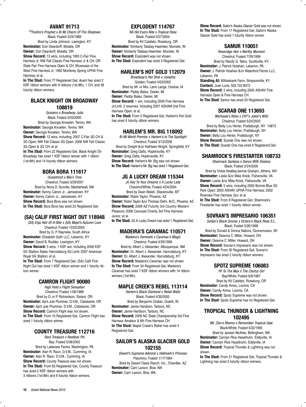#### **AVANT 91713**

*CHFoxfire's Prophet x Bi Mi Charm Of The Shadows* Black; Foaled 3/24/1989

Bred by Linda Johnson, Lexington, KY **Nominator:** Don Deardorff, Molalla, OR

**Owner:** Don Deardorff, Molalla, OR

**Show Record:** 13 wins, including 1993 C-Fair Fine Harness Jr; NW Fall Classic Fine Harness Jr & CH; OR State Fair Fine Harness Open & CH; Showcase of the West Fine Harness Jr; 1992 Monterey Spring UPHA Fine Harness; et al.

**In The Stud:** From 77 Registered Get, Avant has sired 2 KSF ribbon winners with 8 ribbons (1st-8th), 1 CH, and 39 futurity ribbon winners.

#### **BLACK KNIGHT ON BROADWAY 108819**

*Quivarro x Broadway Julia* Black; Foaled 3/03/2000

Bred by Georgia Knowlen, Tenino, WA **Nominator:** Georgia Knowlen, Tenino, WA **Owner:** Georgia Knowlen, Tenino, WA **Show Record:** 12 wins, including: 2007 C-Fair 3G CH & 3G Open; NW Fall Classic 3G Open; 2006 NW Fall Classic 3G Open & 3G CH; et al.

**In The Stud:** From 22 Registered Get, Black Knight On Broadway has sired 1 KSF ribbon winner with 1 ribbon (1st-8th) and 14 futurity ribbon winners.

#### **BORA BORA 111617**

*Oceanfront x Mia's Time* Chestnut; Foaled 3/29/2001 Bred by Nona D. Scoville, Marblehead, MA **Nominator:** Kenny Catron Jr., Jamestown, KY **Owner:** Kenny Catron Jr., Jamestown, KY **Show Record:** Bora Bora was not shown. **In The Stud:** Bora Bora has sired 23 Registered Get.

#### **(SA) CALIF FIRST NIGHT OUT 118948**

*(SA) Enja Hell-Of-A-Nite x (SA) Majel's Autumn Love* Chestnut; Foaled 10/22/2000 Bred by G. P. Reyneke, South Africa **Nominator:** Elisabeth Goth LLC, Lebanon, KY **Owner:** David B. Rudder, Lexington, KY **Show Record:** 5 wins, 1 KSF win, including 2008 KSF 5G Stallion Stake; Harrodsburg 5G Limit; 2007 American Royal 5G Stallion; et al.

**In The Stud:** From 7 Registered Get, (SA) Calif First Night Out has sired 1 KSF ribbon winner and 1 futurity ribbon winner.

#### **CAMRON FLIGHT 90080**

*High Yield x Flight Sensation* Chestnut; Foaled 1/06/1988 Bred by D. or P. Richardson, Sisters, OR **Nominator:** April Jule Plummer, D.V.M., Clatskanie, OR **Owner:** April Jule Plummer, D.V.M., Clatskanie, OR **Show Record:** Camron Flight was not shown. **In The Stud:** From 10 Registered Get, Camron Flight has sired 1 futurity ribbon winner.

#### **COUNTY TREASURE 112716**

*Rare Treasure x Restless Phi* Bay; Foaled 5/08/2002 Bred by Lakeview Farms, Washington, PA **Nominator:** Alan R. Raun, D.V.M., Cumming, IA **Owner:** Alan R. Raun, D.V.M., Cumming, IA **Show Record:** County Treasure was not shown. **In The Stud:** From 63 Registered Get, County Treasure has sired 2 KSF ribbon winners with 3 ribbons (1st-8th) and 9 futurity ribbon winners.

#### **EXPLODENT 114767**

*RA Hot Every Nite x Tropical Rose* Black; Foaled 5/27/2004 Bred by Kit Calafato, Roseburg, OR **Nominator:** Kimberly Talabay-Haemker, Munster, IN **Owner:** Kimberly Talabay-Haemker, Munster, IN **Show Record:** Explodent was not shown. **In The Stud:** Explodent has sired 3 Registered Get.

#### **HARLEM'S HOT GOLD 112079**

*Broadway's Hot Shot x Josepha* Golden; Foaled 4/03/2002 Bred by Mr. or Mrs. Leon Lange, Onslow, IA **Nominator:** Paddy Bates, Dexter, MI **Owner:** Paddy Bates, Dexter, MI **Show Record:** 1 win, including 2009 Fine Harness Jr/Limit. 2 reserves, including 2007 ASHAM 2nd Fine Harness Open; et al. **In The Stud:** From 5 Registered Get, Harlem's Hot Gold has sired 4 futurity ribbon winners.

#### **HARLEM'S MR. BIG 118092**

*Bi Mi World Premier x Harlem's In The Spotlight* Chestnut; Foaled 3/12/2006 Bred by Dwight &/or Kathleen Wright, Springfield, KY **Nominator:** Greg Oatts, Hopkinsville, KY **Owner:** Greg Oatts, Hopkinsville, KY **Show Record:** Harlem's Mr. Big was not shown. **In The Stud:** Harlem's Mr. Big has sired 1 Registered Get.

#### **JG A LUCKY DREAM 115344**

*JG Key To Your Dreams x A Lucky Lady* Chestnut/White; Foaled 4/24/2004 Bred by Deen Walsh, Stevensville, MT **Nominator:** Robin Taylor, Phoenix, AZ **Owner:** Robin Taylor &/or Thomas Dehn, M.D., Phoenix, AZ **Show Record:** 2009 AZ Futurity 3rd Country Western Pleasure; 2008 Carousel Charity 3rd Fine Harness Junior; et al.

**In The Stud:** JG A Lucky Dream has sired 1 Registered Get.

#### **MADEIRA'S CARAMAC 110571**

*Madeira's Denmark x Caramac's Magic* Chestnut; Foaled 4/29/1998 Bred by Albert J. Alexander, Albuquerque, NM **Nominator:** Dr. Albert J. Alexander, Harrodsburg, KY **Owner:** Dr. Albert J. Alexander, Harrodsburg, KY **Show Record:** Madeira's Caramac was not shown. **In The Stud:** From 34 Registered Get, Madeira's Caramac has sired 7 KSF ribbon winners with 14 ribbon winners (1st-8th).

#### **MAPLE CREEK'S REBEL 113114**

*Harlem's Black Diamond x Rebel Waltz* Black; Foaled 4/30/2002 Bred by Benjamin Graber, Grabill, IN **Nominator:** Jamie Hardison, Tarboro, NC **Owner:** Jamie Hardison, Tarboro, NC **Show Record:** 2009 NC State Championship 3rd Fine Harness Amateur & 6th Fine Harness CH. **In The Stud:** Maple Creek's Rebel has sired 4 Registered Get.

#### **SAILOR'S ALASKA GLACIER GOLD 102155**

*Desert's Supreme Admiral x Hallmark's Princess* Palomino; Foaled 1/17/1994 Bred by Desert Oasis Ranch, Inc., Chandler, AZ **Nominator:** Carri Larson, Bow, WA **Owner:** Carri Larson, Bow, WA

**Show Record:** Sailor's Alaska Glacier Gold was not shown. **In The Stud:** From 17 Registered Get, Sailor's Alaska Glacier Gold has sired 1 futurity ribbon winner.

#### **SAMUR 110051**

*Roseridge Heir x Worthy Moment* Chestnut; Foaled 7/29/1999 Bred by Randy G. Tabor, Scottsville, KY **Nominator:** J. Patrick Holahan, Lebanon, PA **Owner:** J. Patrick Holahan &/or Waterford Farms LLC, Lebanon, PA **Standing At:** Willowbank Farm, Simpsonville, KY **Contact:** Joan Lurie, 502.722.8073

**Show Record:** 2 wins, including 2005 ASHAV Fine Harness Open & Fine Harness CH. **In The Stud:** Samur has sired 20 Registered Get.

#### **SCARAB ONE 113693**

*Warhawk's Roho x CHT's Joker's Wild* Chestnut; Foaled 5/24/2003 Bred by Betty Lou Herter, Prattsburgh, NY 14873 **Nominator:** Betty Lou Herter, Prattsburgh, NY **Owner:** Betty Lou Herter, Prattsburgh, NY **Show Record:** Scarab One was not shown. **In The Stud:** Scarab One has sired 6 Registered Get.

#### **SHAMROCK'S FIRESTARTER 108733**

*Shamrock Santana x Dance With Desiera* Black; Foaled 2/24/2000 Bred by Vickie Keatley/Jennie Graham, Athens, WV

**Nominator:** Leslie &/or Mike Knick, Fishersville, VA **Owner:** Leslie &/or Mike Knick, Fishersville, VA **Show Record:** 5 wins, including 2005 Bonnie Blue 3G Park Open; 2003 ASHAV UPHA Fine Harness; 2002 Roanoke Fine Harness 2yo; et al.

**In The Stud:** From 8 Registered Get, Shamrock's Firestarter has sired 1 futurity ribbon winner.

#### **SOVRAN'S IMPRESARIO 106351**

*Sultan's Black Sovran x Victory's Black Rose S.L.* Black; Foaled 5/26/1998 Bred by Donald & Donna Nabors, Oconomowoc, WI **Nominator:** Deanna C. Miller, Howard, OH **Owner:** Deanna C. Miller, Howard, OH **Show Record:** Sovran's Impresario was not shown. **In The Stud:** From 30 Registered Get, Sovran's Impresario has sired 2 futurity ribbon winners.

#### **SPOTZ SUPREME 106083**

*PF To The Max x The Chorus Girl* Bay/White; Foaled 6/6/1997 Bred by Kit Calafato, Roseburg, OR **Nominator:** Candy Amos, Loomis, CA **Owner:** Candy Amos, Loomis, CA **Show Record:** Spotz Supreme was not shown. **In The Stud:** Spotz Supreme has no Registered Get.

#### **TROPICAL THUNDER & LIGHTNING 102495**

*Mt. Zion's Rhema x Remember Tropical Gale* Black/White; Foaled 5/22/1995 Bred by Janeen McAtee, Bellingham, WA **Nominator:** Carolyn Rice Haselhuhn, Eddyville, IA **Owner:** Carolyn Rice Haselhuhn, Eddyville, IA **Show Record:** Tropical Thunder & Lightning was not shown.

**In The Stud:** From 21 Registered Get, Tropical Thunder & Lightning has sired 3 futurity ribbon winners.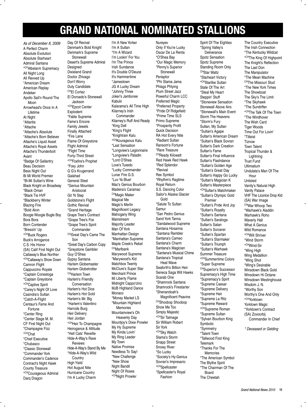### **GRAND NATIONAL NOMINATED STALLIONS**

I'm A New Yorker

*As of December 8, 2009* A Perfect Charm Absolute Evolution Absolute Starheart Admiral Santana \* CHAlbelarm Supremacy All Night Long All Revved Up \*American Dream American Replay Andeker Apollo Sail'n Round The Moon Arrowhead's Once In A Lifetime At Night \*Atlantis \*Attache \*Attache's Absolute \*Attache's Born Believer Attache's Liquid Asset Attache's Royal Assets Attache's Thunderbolt Avant \*Badge Of Gallantry Beau Decision Bess Night Out Bi Mi World Premier \*Bi-Mi Sultan's Wine Black Knight on Broadway \*Black Oman \*Black Tie HVF \*Blackberry Winter Blazing Fire \*Bold Alvin Boogie Woogie Bugle Boy Bora Bora Born Contender \*Breezin' Up \* CHBuck Rogers Buck's Arrogance C.S. His Honor (SA) Calif First Night Out Callaway's Blue Norther \* CHCallaway's Show Down Camron Flight Cappuccino Royale \*Captain Conestoga \*Captain Greystone \* CHCaptive Spirit \*Carey's Night Of Love Casindra's Sultan \*Catch-A-Flight Centaur's Fame And Fortune \*Center Ring \*Center Stage M. M. CF First Night Out \*Champagne Fizz \* CHChat \*Chief Executive \*Chubasco \*Classic Stonewall \*Commander York Commander's Cadence Contract's Night Hawk County Treasure \* CHCourageous Admiral Darq Dragon

Day Of Revival Denmark's Bold Knight Denmark's Supreme **Stonewall** Desert's Supreme Admiral Designed Dixieland Grand Doctor Zhivago Don't Worry Duty Candidate CHEl Cortez El Doroado's Stonewall Jackson \* CHEpcot Center **Explodent** \*Fable Supreme Fame's Encore Family Jewels Finally Attached \*Fire Lane Flame Of Greystone Flight Admiral \*Flight Time Forty-Third Street \* CHFoxfire's Prophet \*Foxy John G G's Krugerrand Galahad General Steel \*Genius Mountain Aristocrat Git 'N Step Goldstone's Flight Gothic Revival \*Grand Heritage Grape Tree's Contract \*Grape Tree's Fox \*Grape Tree's Spirit **Commander** CHGreat Day's Came The Son \*Great Day's Carbon Copy \*Greystone Gambler Guy O'Shea Gypsy Santana Harlem Globemaster Harlem Globetrotter CHHarlem Town Harlem's Friendly Conversation Harlem's Hot Dice Harlem's Hot Gold Harlem's Mr. Big \*Harlem's Valentino Harrods Burg Heir Delivery Heir Jordan \* CHHeir To Champagne Heirogance & Attitude \*Hell Cats' Reveille Hide-A-Way's Rave Reviews Hide-A-Way's Stand By Me \*Hide-A-Way's Wild **Country** High Yield Hot August Nite Hurricane Country I'm A Lucky Charm

I'm A Sultan \*I'm A Wizard I'm Lookin' For You I'm The Prince Irish Sundance It's Double O'Deuce It's Hammertime \*Jamestown JG A Lucky Dream \*Johnny Three Joker's Jamboree Kabuki Kalarama's All Time High Kilarney's Irish **Commander** Kilarney's Ruff And Ready \*King Dell \*King's Flight \*Knightrain Kalu \* CHKourageous Kalu \*Last Sensation \*Longview's Legionnaire \*Longview's Paladin \*Lord O'Shea Love's Tuxedo \*Lucky Commander Lunar Fire G.S. \*Luv Ya Blue! Mac's Genius Bourbon Madeira's Caramac CHMagic Maker Magical Me Magic's Merlin Magnificent Legacy Mahogany Wing Mainstream Majority Leader Man Of York Manhattan Design \*Manhattan Supreme Maple Creek's Rebel CHMarlbank Marywood Supreme \*Marywood's Kid Matchbox Twenty McClure's Super Star Merchant Prince Mi Liberty Flame Midnight Cappo'cino MJB Highland Dance Monaco \*Money Market LS \*Mountain Highland Memories Mountainview's Oh Heavenly Day Mountjoy's Dixie Prowler My Hy Supreme My Kinda Lovin' My Ring Leader My Town Native Promise Needless To Say! \*New Challenge \*New Show Night Bandit Night Of Roses \* CHNight Prowler

**Nurevev** Only If You're Lucky Oscar De La Renta \*O'Shea Bay \*Our Magic Memory \*Penny's Superior **Stonewall** Periaptor \*Phi Slama Jama Phlags Phlying Plum Street Jazz Powerful Charm LCC Preferred Magic \*Preferred Property \*Pride Of Ridgefield \*Prime Time SLS Primo Supreme \*Prosperity Profit Quick Decision RA Hot Every Nite \*Radiant Sultan Ransom's Fortune \*Rare Treasure CHReady Kilowatt Red Hawk Red Hawk \*Red Splendor \*Revival Rex Symbol \*Rhythm's Ragtime Royal Return S.S. Dancing Color Sailor's Alaska Glacier Gold \*Salute To Sultan Samur \*San Pedro Genius Sand York Tanna \*Sandalwood Supreme Santana Hosanna \*Santana Rambler Santana's Cameo Santana's Charm Santana's Magician \*Santana's Musical Chime Santana's Tropical Heat Wave Seaforth's Billion Heir Seneca Saga Will Hawks Scarab One \*Shamrock Santana Shamrock's Firestarter \*Shenandoah's Magnificent Peavine CHShoobop Shoobop Show Me Too Simply Majestic \* CHSir Talmage Sir William Robert Sir York \* CHSky Watch Slama's Storm Snapp Street Snowy River \*So Lucky \*Society's Hy-Genius Sovran's Impresario \* CHSpellcaster \*Spellcaster's Royal

Fashion

Spirit Of The Eighties \*Spring Valley's Deliverance Spotz Sensation Spotz Supreme Standing Room Only CHStar Waltz \*Starheart Victory \* CHStarlike Sultan State Of The Art \*Steal My Heart Steppin' Stuff \*Stoneview Sensation Stonewall Above Airs \*Stonewall's Main Event Storm The Heavens \*Storm's Fury Sultan, My Sultan \*Sultan's Agape Sultan's American Dream \*Sultan's Black Sovran Sultan's Dark Creation Sultan's Fame Sultan's Final Influence Sultan's Flashdance \*Sultan's Golden Age \*Sultan's Great Day Sultan's Happy Go Lucky \*Sultan's Magician K Sultan's Masterpiece \* CHSultan's Matchmaker \*Sultan's Olympic Gold Premier \*Sultan's Pride And Joy \*Sultan's Royalty \*Sultan's Santana \*Sultan's Saratoga Sultan's Satan Sultan's Sorcerer \*Sultan's Spartan \*Sultan's Starmaker \*Sultan's Triumph \*Sultan's Warhawk Summer Treasure \* CHSummertime Colors \*Super Supreme CHSuperior's Successor Supremacy's High Time \*Supremacy's Spirit \*Supreme Caesar \*Supreme Delivery \*Supreme Heir \*Supreme La Ritz \*Supreme Reward \* CHSupreme Roman \*Supreme Sultan \*Sylvan Bourbon King Symbolic \*Symmetry \*Talent Town \*Tallwood First King Telemark \*Thanks For The **Memories** \*The American Symbol The Blythe Spirit \*The Chairman Of The Board The Cheetah

The Country Executive The Irish Connection \*The Kentucky Wildcat \* CHThe King Of Highpoint The Knight's Reflection The Last Don The Manipulator \*The Mean Machine CHThe Missouri Stud \*The New York Times The Showboat The Sky's The Limit \*The Skyhawk \*The Sundrifter \* CHThe Talk Of The Town \*The Windhover The Wish Card Tiger Woods Time Out For Lovin' \*Titleist Tiznow Town Talent Tropical Thunder & Lightning Trust Fund Ultimatium Undulata's Man Of The Hour Unlisted Vanity's Natural High Vanity Palace VHF The Licorice Drop Kid (SA) War Image CHWar Whoop Two \*Warhawk's Aladdin Warhawk's Roho Waverly Hall What A Genius Wild Romance \* CHWill Shriver \*Wind Storm \* CHWind-Sir \*Wing High Wing Medallion \*Wing Shot \*Wing's Desirable Winsdown Black Gold Winsdown Hi Octane Winsdown Westinghouse Wisdom J. N. \*Worthy Son Worthy's One And Only \* CHYorktown Yorktown Magic \*Yorktown's Contract (SA) Zovoorbij Commander In Chief \* Deceased or Gelding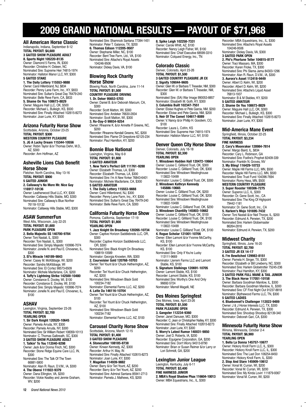### **2009 GRAND NATIONAL RESULTS — PAYOUT OF \$71,968**

#### **All American Horse Classic**

Indianapolis, Indiana, September 8-12 **TOTAL PAYOUT: \$4,600 3 GAITED SHOW PLEASURE ADULT 8. Sports Night 105220-8135** Owner: Diamond 5 Farms, IN, \$300 Recorder: Christine H. Osteen, NC Nominated Sire: Supreme Heir 74815-1974 Nominator: Hallston Manor LLC, NY, \$300 **5 GAITED STAKE**

#### **1. The Daily Lottery 115553-9888**

Owner: Carol Hillenbrand, NJ, \$834 Recorder: Penny Lane Farm, Inc., KY, \$833 Nominated Sire: Sultan's Great Day 76479-240 Nominator: Belle Reve Farm, CA, \$833 **5. Shame On You 108673-8829** Owner: Maguire Hall LLC, OK, \$500 Recorder: Michael L. Bulleigh, KS, \$500 Nominated Sire: Finally Attached 102615-8273 Nominator: Joan Lurie, KY, \$500

#### **Arizona Futurity Horse Show**

Scottsdale, Arizona, October 23-25 **TOTAL PAYOUT: \$300 WESTERN COUNTRY PLEASURE 5. JG A Lucky Dream 115344-10556** Owner: Robin Taylor &/or Thomas Dehn, M.D., AZ, \$300 Recorder: Ann Hoffman, AZ

#### **Asheville Lions Club Benefit Horse Show**

Fletcher, North Carolina, May 13-16 **TOTAL PAYOUT: \$900 5 GAITED JUNIOR 2. Callaway's No More Mr. Nice Guy 116917-10136** Owner: Leatherwood Stud LLC, KY, \$300

Recorder: Callaway Hills Stable, MO, \$300 Nominated Sire: Callaway's Blue Norther 76118-10132 Nominator: Callaway Hills Stable, MO, \$300

#### **ASAW SummerFun**

West Allis, Wisconsin, July 22-25 **TOTAL PAYOUT: \$1,600 PARK PLEASURE OPEN 2. Bella Majestic SS 140700-9784** Owner: Toni Nastali, IL, \$300 Recorder: Toni Nastali, IL, \$300 Nominated Sire: Simply Majestic 100996-7074 Nominator: Jonelle N. and Paul E. Chovanec, IL, \$300

**3. El's Miracle 140189-9843** Owner: Casey M. McKibbage, WI, \$200 Recorder: Sandra McKibbage, WI Nominated Sire: El Cortez 98573-6509 Nominator: Michele Macfarlane, CA, \$200 **4. Tuffy's Lightning Strike 142500-10480** Owner: Constance E. Dooley, WI, \$100 Recorder: Constance E. Dooley, WI, \$100 Nominated Sire: Simply Majestic 100996-7074 Nominator: Jonelle N. and Paul E. Chovanec, IL, \$100

#### **ASHAV**

Lexington, Virginia, September 23-26 **TOTAL PAYOUT: \$2,700 YEARLING OPEN 1. Sir Dark Knight 120520-10645** Owner: Pamela Arruda, NY, \$300

Recorder: Pamela Arruda, NY, \$300 Nominated Sire: Sir William Robert 108359-10113 Nominator: C. Thomas Galbreath, SC, \$300 **3 GAITED SHOW PLEASURE ADULT 1. Talkin' To You 112040-9298** Owner: Jack &/or Donna Finch, NC, \$300

Recorder: Stone Ridge Equine Care LLC, IN, \$300 Nominated Sire: The Talk Of The Town

66881-5800

Nominator: Alan R. Raun, D.V.M., IA, \$300 **4. The Oberoi 111922-9379**

Owner: Dana Ellington, VA, \$200 Recorder: Vickie Keatley and Jennie Graham, WV, \$200

Nominated Sire: Shamrock Santana 77394-1451 Nominator: Peter T. Galanos, TX, \$200 **6. Thomas Edison 112205-9507** Owner: Stephanie Miller, NC, \$100 Recorder: Bent Tree Farm, Ltd., VA, \$100 Nominated Sire: Attache's Royal Assets 104246-9506 Nominator: Dickey Davis, VA, \$100

#### **Blowing Rock Charity Horse Show**

Blowing Rock, North Carolina, June 11-14 **TOTAL PAYOUT: \$1,500 COUNTRY PLEASURE DRIVING 1. Dr. Deker 95653-5703** Owner: Daniel B. &/or Deborah Marcum, CA, \$300

Recorder: Scott Matton, WI, \$300 Nominated Sire: Andeker 76630-2834 Nominator: Scott Matton, WI, \$300 **3. Ro-Day-O 99934-9254** Owner: Rheanne K. &/or Annette P. Greene, NC,

\$200 Recorder: Rheanne Kendall Greene, NC, \$200 Nominated Sire: Flame Of Greystone 62125-234 Nominator: Paul Hamilton, KY, \$200

#### **Bonnie Blue National**

Lexington, Virginia, May 6-9 **TOTAL PAYOUT: \$1,800 3 GAITED AMATEUR 1. New York's Perfect Gift 111761-9288** Owner: Elizabeth Thomas, LA, \$300 Recorder: Elizabeth Thomas, LA, \$300 Nominated Sire: I'm A New Yorker 76843-6401 Nominator: Michele Macfarlane, CA, \$300 **5 GAITED AMATEUR**

**1. The Daily Lottery 115553-9888** Owner: Carol Hillenbrand, NJ, \$300

Recorder: Penny Lane Farm, Inc., KY, \$300 Nominated Sire: Sultan's Great Day 76479-240 Nominator: Belle Reve Farm, CA, \$300

#### **California Futurity Horse Show**

Pomona, California, September 17-19 **TOTAL PAYOUT: \$1,800 YEARLING OPEN**

**1. Jazz Knight On Broadway 120265-10734** Owner: Captive Horizon Saddlebreds LLC, OR, \$300

Recorder: Captive Horizon Saddlebreds LLC, OR, \$300

Nominated Sire: Black Knight On Broadway 108819-10589

Nominator: Georgia Knowlen, WA, \$300 **2. Courvoisier Gold 120768-10703**

Owner: Teri Yount &/or Chuck Hetherington, AZ, \$200

Recorder: Teri Yount &/or Chuck Hetherington, AZ, \$200

Nominated Sire: Winsdown Black Gold 100234-7182

Nominator: Elemental Farms LLC, AZ, \$200 **4. Latte Da 146116-10704**

Owner: Teri Yount &/or Chuck Hetherington, AZ,

\$100 Recorder: Teri Yount &/or Chuck Hetherington, AZ, \$100

Nominated Sire: Winsdown Black Gold 100234-7182

Nominator: Elemental Farms LLC, AZ, \$100

**Carousel Charity Horse Show** Scottsdale, Arizona, March 12-15 **TOTAL PAYOUT: \$1,400 3 GAITED SHOW PLEASURE 4. Stonecutter 108185-8738** Owner: Kirwan Kennedy, AZ, \$300 Recorder: Arthur H. May, IN Nominated Sire: Finally Attached 102615-8273 Nominator: Joan Lurie, KY, \$300 **7. Magellan 114939-9882** Owner: Barry &/or Teri Yount, AZ, \$200 Recorder: Barry &/or Teri Yount, AZ, \$200 Nominated Sire: Admiral Santana 85941-2713 Nominator: Pamela J. Mathews, KS, \$200

**8. Spike Leigh 102258-7331** Owner: Carole Whitt, AZ, \$100 Recorder: Nancy Leigh Fisher, WI, \$100 Nominated Sire: Chief Executive 68599-3310 Nominator: Colquest Energy, Inc., TN

#### **Colorado Classic**

Denver, Colorado, April 23-26 **TOTAL PAYOUT: \$1,500 3 GAITED COUNTRY PLEASURE JR EX**

**2. Signify 109044-9605** Owner: Glen W. or Barbara T. Treseder, NM, \$300 Recorder: Glen W. or Barbara T. Treseder, NM, \$300 Nominated Sire: (SA) War Image 990053-8857 Nominator: Elisabeth M. Goth, KY, \$300 **3. Columbia Built 102347-7551** Owner: Eloise Hughes or Pete Garcia, NM, \$200 Recorder: Eloise and Pete Garcia, NM, \$200 **5. Heir Of The Comet 104617-8089** Owner: V. Nancy &/or Phillip H. Goodwin, CO,

\$100 Recorder: Laura L. Cofrin, KS Nominated Sire: Supreme Heir 74815-1974 Nominator: Hallston Manor LLC, NY, \$100

#### **Denver Queen City Horse Show**

Denver, Colorado, July 16-18 **TOTAL PAYOUT: \$2,300 YEARLING OPEN**

**1. Winsdown Hadden Hall 120472-10664** Owner: Louise C. Gilliland Trust, OK, \$300 Recorder: Louise C. Gilliland Trust, OK, \$300 Nominated Sire: Winsdown Westinghouse

113822-10499 Nominator: Louise C. Gilliland Trust, OK, \$300 **2. Winsdown Kathryn Kennedy** 

**145886-10665** Owner: Louise C. Gilliland Trust, OK, \$200 Recorder: Louise C. Gilliland Trust, OK, \$200 Nominated Sire: Winsdown Westinghouse 113822-10499

Nominator: Louise C. Gilliland Trust, OK, \$200 **3. Winsdown Chantilly 145803-10662** Owner: Louise C. Gilliland Trust, OK, \$100 Recorder: Louise C. Gilliland Trust, OK, \$100 Nominated Sire: Winsdown Westinghouse 113822-10499

Nominator: Louise C. Gilliland Trust, OK, \$100 **4. Rogue Scholar 121001-10706**

Owner: Ellen Lamont &/or Yvonne McCarthy, KS, \$100

Recorder: Ellen Lamont &/or Yvonne McCarthy, KS, \$100 Nominated Sire: Only If You're Lucky

113111-9669 Nominator: Llerrem Farms LLC and Lamont

Stable, KS, \$100

**5. Signature Stalkings 120691-10705** Owner: Lamont Stable, KS, \$100 Recorder: Lamont Stable, KS, \$100 Nominated Sire: Worthy's One And Only

96692-5724 Nominator: Merrell Magelli, NE

#### **Des Moines Springfest**

Des Moines, Iowa, April 23-26 **TOTAL PAYOUT: \$1,500 PARK PLEASURE OPEN 3. Gangster 112234-9360** Owner: Janet Danuser, MO, \$300 Recorder: C. Jean or Christopher Nalley, KY, \$300 Nominated Sire: Finally Attached 102615-8273 Nominator: Joan Lurie, KY, \$300 **5. Worry's Latest Rumor 140031-9850<br>Owner: Joel D. Roberts, IA, \$200** Recorder: Equigene Corporation, GA, \$200 Nominated Sire: Don't Worry 94513-8790 Nominator: Brian or Susan Reimer &/or Larry or

Lori Schmidt, GA, \$200

**Lexington Junior League**

Lexington, Kentucky, July 6-11 **TOTAL PAYOUT: \$3,400 FINE HARNESS JUNIOR 2. MBA's Royal Shadow Phax 116604-10013** Owner: MBA Equestrians, Inc., IL, \$300

Recorder: MBA Equestrians, Inc., IL, \$300 Nominated Sire: Attache's Royal Assets 104246-9506

Nominator: Dickey Davis, VA, \$300 **3 GAITED PARK OPEN**

**2. Phi's Phortune Teller 104815-8177** Owner: Traci Massaro, MA, \$300 Recorder: Karen Fricke, TX, \$300 Nominated Sire: Phi Slama Jama 84303-1296 Nominator: Alan R. Raun, D.V.M., IA, \$300

**3. Aurora's Asset 112418-9449** Owner: Albert D. Kelm, WI, \$200 Recorder: Albert D. Kelm, WI, \$200 Nominated Sire: Attache's Liquid Asset

76813-1937 Nominator: B & M Stables, KY, \$200 **5 GAITED AMATEUR**

**2. Shame On You 108673-8829** Owner: Maguire Hall LLC, OK, \$300 Recorder: Michael L. Bulleigh, KS, \$300 Nominated Sire: Finally Attached 102615-8273 Nominator: Joan Lurie, KY, \$300

#### **Mid-America Mane Event**

Springfield, Illinois, October 22-25 **TOTAL PAYOUT: \$3,234 FINE HARNESS**

**2. Cary's Moonraker 128984-7814**

Owner: Margo Baird, IL, \$834 Recorder: Cary L. Robinson, GA Nominated Sire: Foxfire's Prophet 82409-339 Nominator: Franklin N. Groves, NV **3. My Bling! 116429-10733** Owner: Maple Hill Farms LLC, MN, \$500 Recorder: Maple Hill Farms LLC, MN, \$500 Nominated Sire: Trust Fund 104396-7694

Nominator: Romy Hess, MN, \$500 **WESTERN COUNTRY PLEASURE**

**3. Super Rooster 100306-7275** Owner: Superoo LLC, IL, \$300

Recorder: Dr. Gene Scott, Inc., CA Nominated Sire: The King Of Highpoint 79442-1181

Nominator: Dr. Gene Scott, Inc., CA **5. Harlem's Mojo 101695-7432** Owner: Toni Nastali &/or Neil Thorpe, IL, \$200 Recorder: Edmund A. Perwien, TX, \$200 Nominated Sire: Harlem Globemaster 86264-2816

Nominator: Edmund A. Perwien, TX, \$200

#### **Midwest Charity**

Springfield, Illinois, June 16-20 **TOTAL PAYOUT: \$2,700 3 GAITED JR EX 14-17**

**6. I'm Bewitched 129983-8151** Owner: Pamela H. Singer, TX, \$300 Recorder: Elizabeth or Bill Lineberry, NC, \$300 Nominated Sire: Harlem Globetrotter 75245-236 Nominator: Paul Hamilton, KY, \$300 **3 GAITED PARK FULL MANE & TAIL JUNIOR 3. The Black Horse 117051-10158** Owner: Barbara Goodman Manilow, IL, \$300 Recorder: Barbara Goodman Manilow, IL, \$300 Nominated Sire: CF First Night Out 91237-8818 Nominator: Blythewood Farms LLC, TN, \$300

**5 GAITED LADIES 4. Bluebonnet's Challenger 112022-9489** Owner: J & J Horse Interests LLC, TX, \$300 Recorder: Edmund A. Perwien, TX, \$300 Nominated Sire: Shoobop Shoobop 82139-340 Nominator: Deborah Gari, CA, \$300

#### **Minnesota Futurity Horse Show** Winona, Minnesota, October 2-4 **TOTAL PAYOUT: \$6,900 YEARLING OPEN**

**1. Bella La Donna 145757-10677** Owner: Hickory Knoll Farm LLC, IL, \$300 Recorder: Hickory Knoll Farm LLC, IL, \$300 Nominated Sire: The Last Don 106254-8450 Nominator: Hickory Knoll Farm, IL, \$300

**2. Stop And Stare 145909-10612** Owner: Vonal M. Curran, WI, \$200 Recorder: Vonal M. Curran, WI, \$200 Nominated Sire: My Kinda Lovin' 111879-9367 Nominator: Vonal M. Curran, WI, \$200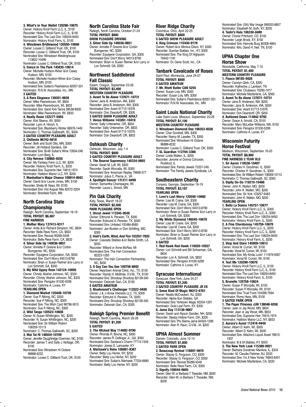**3. What's In Your Wallet 120298-10675** Owner: Hickory Knoll Farm LLC, IL, \$100 Recorder: Hickory Knoll Farm LLC, IL, \$100 Nominated Sire: The Last Don 106254-8450 Nominator: Hickory Knoll Farm, IL, \$100 **4. Winsdown Bridlewood 120550-10666** Owner: Louise C. Gilliland Trust, OK, \$100 Recorder: Louise C. Gilliland Trust, OK, \$100 Nominated Sire: Winsdown Westinghouse 113822-10499

Nominator: Louise C. Gilliland Trust, OK, \$100 **5. Dance In The Park 145835-10614** Owner: Michelle Hudson-Winer &/or Casey

Hudson, MN, \$100 Recorder: Michelle Hudson-Winer &/or Casey Hudson, MN, \$100

Nominated Sire: Sultan's Flashdance 82057-331 Nominator: R.N.W. Associates, Inc., MN **3 GAITED**

#### **3. A Rare Elegance 139301-9828**

Owner: Mike Peerenboom, WI, \$834 Recorder: Mike Peerenboom, WI, \$833 Nominated Sire: Sand York Tanna 99538-6830 Nominator: Mike Peerenboom, WI, \$833

#### **4. Really Rosie 122277-5955**

Owner: Kirk Steeno, WI, \$500

Recorder: Lynn A. Hirsch, IL Nominated Sire: Blackberry Winter 66976-1449 Nominator: C. Thomas Galbreath, SC, \$500 **3 GAITED COUNTRY PLEASURE ADULT 2. Chillante 96742-5818**

Owner: Beth and Scott Otto, MN, \$300 Recorder: Jill Holland Sanders, GA Nominated Sire: Bi-Mi Sultan's Wine 72604-248 Nominator: Lorri Berg, IL

#### **4. City Heiress 136860-9255**

Owner: My Fantasy Farm LLC, WI, \$200 Recorder: Hickory Knoll Farm, IL, \$200 Nominated Sire: Supreme Heir 74815-1974 Nominator: Hallston Manor LLC, NY, \$200 **7. Manhattan's Major Chance 108914-8942** Owner: David &/or Laurie Jones, MN, \$100 Recorder: Shelly M. Ness, WI, \$100 Nominated Sire: Hot August Nite 82572-3204 Nominator: Brenfield Farm, MN

#### **North Carolina State Championship**

Raleigh, North Carolina, September 16-19 **TOTAL PAYOUT: \$6,467 FINE HARNESS**

**1. Mother Mary 137413-9317**

Owner: Anita &/or Richard Simpson, NC, \$834 Recorder: Belle Reve Farm, CA, \$833 Nominated Sire: Revival 95289-5548 Nominator: Belle Reve Farm, CA, \$833 **4. Silver Side Up 140036-9851** Owner: Annette P. Greene &/or Corbin Bumgarner, NC, \$500

Recorder: Equigene Corporation, GA, \$500 Nominated Sire: Don't Worry 94513-8790 Nominator: Brian or Susan Reimer &/or Larry or Lori Schmidt, GA, \$500

**5. My Wild Gypsy Rose 142124-10050** Owner: Christy Absher Johnson, NC, \$334 Recorder: Christy Absher Johnson, NC, \$333 Nominated Sire: Periaptor 81530-5299 Nominator: Cathrine A. Loose, KY **YEARLING OPEN**

**1. Diamond Market 120448-10739** Owner: Sue P. Nifong, NC, \$300 Recorder: Sue P. Nifong, NC, \$300 Nominated Sire: The Wish Card 96796-5615 Nominator: Sue P. Nifong, NC, \$300

#### **2. Wild Tango 120523-10608**

Owner: N. Susan Whittington, NC, \$200 Recorder: N. Susan Whittington, NC, \$200 Nominated Sire: Sir William Robert 108359-10113

Nominator: C. Thomas Galbreath, SC, \$200 **3. Mai Tai Hi 146554-10709**

Owner: Jennifer Daughtridge Overman, NC, \$100 Recorder: James T. and Sally J. Nottage, OR, \$100

Nominated Sire: Winsdown Hi Octane 96888-6232 Nominator: Louise C. Gilliland Trust, OK, \$100

#### **North Carolina State Fair**

Raleigh, North Carolina, October 21-24 **TOTAL PAYOUT: \$900 SHOW PLEASURE DRIVING 3. Silver Side Up 140036-9851** Owner: Annette P. Greene &/or Corbin Bumgarner, NC, \$300 Recorder: Equigene Corporation, GA, \$300 Nominated Sire: Don't Worry 94513-8790 Nominator: Brian or Susan Reimer &/or Larry or

Lori Schmidt, GA, \$300

#### **Northwest Saddlebred Fall Classic**

Salem, Oregon, September 23-26 **TOTAL PAYOUT: \$3,400 WESTERN COUNTRY PLEASURE 3. Avant To Be Alone 137671-10731** Owner: Jana B. Anderson, WA, \$300 Recorder: Jana B. Anderson, WA, \$300 Nominated Sire: Avant 91713-10376 Nominator: Don Deardorff, OR, \$300 **3 GAITED SHOW PLEASURE ADULT 7. Venus Williams 143261-10418** Owner: Sally Unterseher, OR, \$834 Recorder: Sally Unterseher, OR, \$833 Nominated Sire: Avant 91713-10376 Nominator: Don Deardorff, OR, \$833

#### **Oshkosh Charity**

Oshkosh, Wisconsin, July 1-4 **TOTAL PAYOUT: \$600 3 GAITED COUNTRY PLEASURE ADULT 1. The Bourne Supremacy 140334-9893** Owner: Sarah M. Luft, WI, \$300 Recorder: Sarah Worzalla, WI, \$300 Nominated Sire: American Replay 79698-377 Nominator: Julius C. Pierce Jr., VA **4. Spotlight Dancer 131211-8499** Owner: Samantha Champagne, WI Recorder: Laura L. Smoot, MN

#### **Pin Oak Charity**

Katy, Texas, March 18-22 **TOTAL PAYOUT: \$2,500 PARK PLEASURE OPEN 1. Uncut Jewel 113345-9548** Owner: Edmund A. Perwien, TX, \$300 Recorder: Edmund A. Perwien, TX, \$300 Nominated Sire: Unlisted 102484-8560 Nominator: Jan Burden or Don Schilling, MO, \$300

**2. Irish's Earth, Wind, And Fire 103357-7820** Owner: Cascade Stables &/or Barbe Smith, LA, \$200

Recorder: Willard or Anne McRae, MI Nominated Sire: The Irish Connection 82223-1050

Nominator: The Irish Connection Partnership, NC, \$200

**3. O Say Can You See 109756-8892** Owner: Neartown Animal Clinic, Inc., TX, \$100 Recorder: Randy H. McBride, D.V.M., TX, \$100 Nominated Sire: Shoobop Shoobop 82139-340 Nominator: Deborah Gari, CA, \$100 **5 GAITED AMATEUR**

**3. Bluebonnet's Challenger 112022-9489** Owner: J & J Horse Interests LLC, TX, \$300 Recorder: Edmund A. Perwien, TX, \$300 Nominated Sire: Shoobop Shoobop 82139-340 Nominator: Deborah Gari, CA, \$300

#### **Raleigh Spring Premier Benefit**

Raleigh, North Carolina, March 26-28 **TOTAL PAYOUT: \$1,200 5 GAITED**

**3. The Wicked Way 114692-9790** Owner: Rhonda R. Boone, NC, \$300 Recorder: James R. Dellinger Jr., GA, \$300 Nominated Sire: Santana's Charm 77710-1509 Nominator: James E. Lancaster, KY **4. Warhawk's Roho 106881-8367** Owner: Betty Lou Herter, NY, \$200 Recorder: Betty Lou Herter, NY, \$200 Nominated Sire: Sultan's Warhawk 77224-6680 Nominator: Betty Lou Herter, NY, \$200

#### **River Ridge Charity**

Columbus, Ohio, April 22-25 **TOTAL PAYOUT: \$600 5 GAITED SHOW PLEASURE ADULT 4. King Crimson 110430-9178** Owner: Robert &/or Monica Olson, KY, \$300 Recorder: Sunrise Stables, Inc., KY, \$300 Nominated Sire: The King Of Highpoint 79442-1181

Nominator: Dr. Gene Scott, Inc., CA

#### **Tanbark Cavalcade of Roses** Saint Paul, Minnesota, June 24-27 **TOTAL PAYOUT: \$600 5 GAITED AMATEUR 7. Mr. Rhett Butler CAN 5255**

Owner: Susan Loly, MN, \$300 Recorder: Susan Loly, MN, \$300 Nominated Sire: Sultan's Flashdance 82057-331 Nominator: R.N.W. Associates, Inc., MN

#### **Saint Louis National Charity**

Lake Saint Louis, Missouri, September 23-26 **TOTAL PAYOUT: \$1,100 WESTERN COUNTRY PLEASURE 3. Winsdown Diamond Dee 106353-8526** Owner: Char Sondrall, MN, \$300 Recorder: Nancy M. Lassiter, TX, \$300 Nominated Sire: Winsdown Hi Octane 96888-6232 Nominator: Louise C. Gilliland Trust, OK, \$300 **7. SL Guardian 112704-3366** Owner: Linda Wallen, IL, \$200 Recorder: Jerome or Donna Corcoran, Rockford, IL Nominated Sire: Family Jewels 72201-249 Nominator: The Family Jewels Syndicate, LA

#### **Southeastern Charity**

Conyers, Georgia, September 16-19 **TOTAL PAYOUT: \$3,167 YEARLING OPEN**

**1. Love's Last Worry 120595-10680** Owner: Lisa M. Crane, GA, \$300 Recorder: Lisa M. Crane, GA, \$300 Nominated Sire: Don't Worry 94513-8790 Nominator: Brian or Susan Reimer &/or Larry or Lori Schmidt, GA, \$300

**2. My White Diamond 146045-10679** Owner: Lisa M. Crane, GA, \$200 Recorder: Lisa M. Crane, GA, \$200 Nominated Sire: Don't Worry 94513-8790 Nominator: Brian or Susan Reimer &/or Larry or Lori Schmidt, GA, \$200 **5 GAITED**

**1. Red Hawk Red Hawk 110029-10557** Owner: Lori Schmidt and Bill Schoeman, GA, \$834 Recorder: Lori A. Schmidt, GA, \$833 Nominated Sire: Periaptor 81530-5299 Nominator: Cathrine A. Loose, KY

#### **Syracuse International** Syracuse, New York, June 24-27

**TOTAL PAYOUT: \$1,200 3 GAITED COUNTRY PLEASURE JR EX 5. Some Kind Of Magic 99212-6761** Owner: Nealia McCracken, NJ, \$300 Recorder: Alpha-Sun Stables, GA Nominated Sire: Yorktown Magic 83334-1291 Nominator: Gold Leaf Farm, KY, \$300 **6. Jama Day 113136-9667** Owner: Sarah and Alyson Sandler, NH, \$200 Recorder: Sleepy Hollow Farm, OH, \$200 Nominated Sire: Phi Slama Jama 84303-1296 Nominator: Alan R. Raun, D.V.M., IA, \$200

#### **UPHA Almost Summer**

Denver, Colorado, June 12-14 **TOTAL PAYOUT: \$1,800 3 GAITED PARK OPEN 2. Beaucoup Revival 116897-9970** Owner: Stacey G. Ferguson, CO, \$300 Recorder: Stacey G. Ferguson, CO, \$300

Nominated Sire: Revival 95289-5548 Nominator: Belle Reve Farm, CA, \$300 **3. Signify 109044-9605**

Owner: Glen W. or Barbara T. Treseder, NM, \$200 Recorder: Glen W. or Barbara T. Treseder, NM, \$200

Nominated Sire: (SA) War Image 990053-8857 Nominator: Elisabeth M. Goth, KY, \$200 **4. Tashi's Halo 106330-8489** Owner: Cherie Pritchard, CO, \$100 Recorder: Leigh Brock, KY, \$100 Nominated Sire: Harrods Burg 80308-4664 Nominator: Mrs. David H. Neil, TN, \$100

#### **UPHA Chapter One Horse Show**

Woodside, California, May 7-10 **TOTAL PAYOUT: \$1,400 WESTERN COUNTRY PLEASURE 1. Fiasco 98185-5928**

Owner: Carolyn Glick, CA, \$300 Recorder: Katherine J. Lambert, TN Nominated Sire: Chubasco 70290-1917 Nominator: Michele Macfarlane, CA, \$300 **3. Avant To Be Alone 137671-10731** Owner: Jana B. Anderson, WA, \$200 Recorder: Jana B. Anderson, WA, \$200 Nominated Sire: Avant 91713-10376 Nominator: Don Deardorff, OR, \$200

**4. Buttoned Down 114942-9792** Owner: Grace A. Arnold, CA, \$100 Recorder: Mary McLellan Williams, WA, \$100 Nominated Sire: Periaptor 81530-5299 Nominator: Cathrine A. Loose, KY

#### **Wisconsin Futurity Horse Festival**

Madison, Wisconsin, September 16-20 **TOTAL PAYOUT: \$8,900 FINE HARNESS 2 YEAR OLD 1. Sir Aaron 119538-10407** Owner: Charles H. Goodman, IL, \$300

Recorder: Charles H. Goodman, IL, \$300 Nominated Sire: Sir William Robert 108359-10113 Nominator: C. Thomas Galbreath, SC, \$300<br>**3. Dipity Do-Da 119210-10466**<br>Owner: John K. Wallen, MO, \$200 Recorder: John K. Wallen, MO, \$200 Nominated Sire: Sir York 103257-9463 Nominator: John K. Wallen, MO, \$200 **YEARLING OPEN**

**1. Bella La Donna 145757-10677** Owner: Hickory Knoll Farm LLC, IL, \$300 Recorder: Hickory Knoll Farm LLC, IL, \$300 Nominated Sire: The Last Don 106254-8450 Nominator: Hickory Knoll Farm, IL, \$300 **2. A Fine Chardonnay 145759-10678** Owner: Hickory Knoll Farm LLC, IL, \$200 Recorder: Hickory Knoll Farm LLC, IL, \$200 Nominated Sire: The Last Don 106254-8450 Nominator: Hickory Knoll Farm, IL, \$200 **3. Stop And Stare 145909-10612** Owner: Vonal M. Curran, WI, \$100 Recorder: Vonal M. Curran, WI, \$100 Nominated Sire: My Kinda Lovin' 111879-9367 Nominator: Vonal M. Curran, WI, \$100 **4. Text Me 120299-10676** Owner: Hickory Knoll Farm LLC, IL, \$100 Recorder: Hickory Knoll Farm LLC, IL, \$100 Nominated Sire: The Last Don 106254-8450

Nominator: Hickory Knoll Farm, IL, \$100 **5. Brunello 120758-10624** Owner: Susan P. Worzalla, WI, \$100 Recorder: Susan P. Worzalla, WI, \$100 Nominated Sire: Trust Fund 104396-7694 Nominator: Romy Hess, MN, \$100 **3 GAITED PARK OPEN**

**1. The Paper Princess JJW 138048-9358** Owner: Jean or Jay Wood, MN, \$834 Recorder: Jean or Jay Wood, MN, \$833 Nominated Sire: Supreme Heir 74815-1974 Nominator: Hallston Manor LLC, NY, \$833 **2. Aurora's Asset 112418-9449**

Owner: Albert D. Kelm, WI, \$500 Recorder: Albert D. Kelm, WI, \$500 Nominated Sire: Attache's Liquid Asset 76813- 1937

Nominator: B & M Stables, KY, \$500 **3. The New York Look 115389-9921** Owner: Barbara Goodman Manilow, IL, \$334 Recorder: M. Claudia Fletcher, NJ, \$333 Nominated Sire: I'm A New Yorker 76843-6401 Nominator: Michele Macfarlane, CA, \$333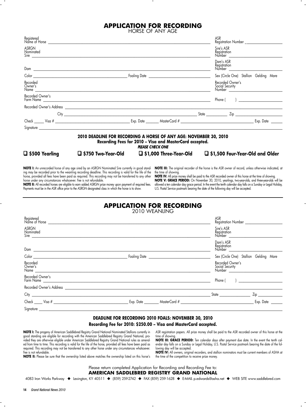### **APPLICATION FOR RECORDING**

HORSE OF ANY AGE

|                           |                                                                                                                                                                                                                                                                                                                                            |                                                                                    | ASR                                                                             |                |
|---------------------------|--------------------------------------------------------------------------------------------------------------------------------------------------------------------------------------------------------------------------------------------------------------------------------------------------------------------------------------------|------------------------------------------------------------------------------------|---------------------------------------------------------------------------------|----------------|
| <b>ASRGN</b><br>Nominated |                                                                                                                                                                                                                                                                                                                                            |                                                                                    | Sire's ASR<br>Registration<br>Number                                            |                |
|                           |                                                                                                                                                                                                                                                                                                                                            |                                                                                    | Dam's ASR<br>Registration<br>Number _____________________                       |                |
|                           |                                                                                                                                                                                                                                                                                                                                            |                                                                                    | Sex (Circle One) Stallion Gelding Mare                                          |                |
| Recorded<br>Owner's       |                                                                                                                                                                                                                                                                                                                                            |                                                                                    | Recorded Owner's<br>Social Security<br>Number <u>__________________________</u> |                |
| Recorded Owner's          |                                                                                                                                                                                                                                                                                                                                            |                                                                                    | Phone (                                                                         | $\overline{a}$ |
|                           |                                                                                                                                                                                                                                                                                                                                            |                                                                                    |                                                                                 |                |
|                           |                                                                                                                                                                                                                                                                                                                                            |                                                                                    |                                                                                 |                |
|                           |                                                                                                                                                                                                                                                                                                                                            |                                                                                    |                                                                                 |                |
|                           | 2010 DEADLINE FOR RECORDING A HORSE OF ANY AGE: NOVEMBER 30, 2010                                                                                                                                                                                                                                                                          | Recording Fees for 2010 – Visa and MasterCard accepted.<br><b>PLEASE CHECK ONE</b> |                                                                                 |                |
| □ \$500 Yearling          | $\Box$ \$750 Two-Year-Old $\Box$ \$1,000 Three-Year-Old                                                                                                                                                                                                                                                                                    |                                                                                    | $\Box$ \$1,500 Four-Year-Old and Older                                          |                |
|                           | NOTE I: An unrecorded horse of any age sired by an ASRGN Nominated Sire currently in good stand- NOTE III: The original recorder of the horse is the ASR owner of record, unless otherwise indicated, at<br>ina may be recorded prior to the weanlina recordina deadline. This recordina is valid for the life of the the time of showina. |                                                                                    |                                                                                 |                |

ing may be recorded prior to the weanling recording deadline. This recording is valid for the life of the horse, provided all fees have been paid as required. This recording may not be transferred to any other horse under any circumstances whatsoever. Fee is not refundable. **NOTE II:** All recorded horses are eligible to earn added ASRGN prize money upon payment of required fees.

Payments must be in the ASR office prior to the ASRGN designated class in which the horse is to show.

**NOTE IV:** All prize money shall be paid to the ASR recorded owner of this horse at the time of showing. **NOTE V: GRACE PERIOD:** On November 30, 2010, yearlings, two-year-olds, and three-year-olds will be allowed a ten calendar day grace period. In the event the tenth calendar day falls on a Sunday or Legal Holiday, U.S. Postal Service postmark bearing the date of the following day will be accepted.

**APPLICATION FOR RECORDING**

| 2010 WEANLING |  |
|---------------|--|
|---------------|--|

| Registered<br>Name of Horse                       |                             | ASR<br>Registration Number ________                                                                                                                                                                                                                      |
|---------------------------------------------------|-----------------------------|----------------------------------------------------------------------------------------------------------------------------------------------------------------------------------------------------------------------------------------------------------|
| ASRGN<br>Nominated<br>Sire                        |                             | Sire's ASR<br>Registration<br>Number                                                                                                                                                                                                                     |
|                                                   |                             | Dam's ASR<br>Registration<br>Number                                                                                                                                                                                                                      |
| Color <b>Color</b>                                | Foaling Date ______________ | Sex (Circle One) Stallion Gelding Mare                                                                                                                                                                                                                   |
| Recorded<br>Owner's<br>Name                       |                             | Recorded Owner's<br>Social Security<br>Number                                                                                                                                                                                                            |
| Recorded Owner's<br>Farm Name <b>Example 2018</b> |                             | Phone (                                                                                                                                                                                                                                                  |
| Recorded Owner's Address                          |                             |                                                                                                                                                                                                                                                          |
|                                                   |                             | <b>Zip</b> and the state of the state of the state of the state of the state of the state of the state of the state of the state of the state of the state of the state of the state of the state of the state of the state of the<br><b>State State</b> |
|                                                   | Exp. Date                   | $MasterCard \#$<br>Exp. Date                                                                                                                                                                                                                             |
| Signature                                         |                             |                                                                                                                                                                                                                                                          |

#### **DEADLINE FOR RECORDING 2010 FOALS: NOVEMBER 30, 2010 Recording Fee for 2010: \$250.00 – Visa and MasterCard accepted.**

**NOTE I:** The progeny of American Saddlebred Registry Grand National Nominated Stallions currently in good standing are eligible for recording with the American Saddlebred Registry Grand National, provided they are otherwise eligible under American Saddlebred Registry Grand National rules as amended from time to time. This recording is valid for the life of the horse, provided all fees have been paid as required. This recording may not be transferred to any other horse under any circumstances whatsoever. Fee is not refundable.

**NOTE II:** Please be sure that the ownership listed above matches the ownership listed on this horse's

ASR registration papers. All prize money shall be paid to the ASR recorded owner of this horse at the time of showing.

**NOTE III: GRACE PERIOD:** Ien calendar days atter payment due date. In the event the tenth calendar day falls on a Sunday or Legal Holiday, U.S. Postal Service postmark bearing the date of the following day will be accepted.

**NOTE IV:** All owners, original recorders, and stallion nominators must be current members of ASHA at the time of the competition to receive prize money.

#### Please return completed Application for Recording and Recording Fee to: **AMERICAN SADDLEBRED REGISTRY GRAND NATIONAL**

4083 Iron Works Parkway ◆ Lexington, KY 40511 ◆ (859) 259-2742 ◆ FAX (859) 259-1628 ◆ E-MAIL p.edwards@asha.net ◆ WEB SITE www.saddlebred.com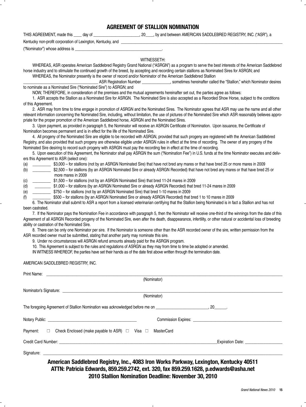#### **AGREEMENT OF STALLION NOMINATION**

THIS AGREEMENT, made this \_\_\_\_ day of \_\_\_\_\_\_\_\_\_\_\_\_\_\_\_\_\_\_\_\_\_\_\_, 20\_\_\_\_, by and between AMERICAN SADDLEBRED REGISTRY, INC. ("ASR"), a

Kentucky non-profit corporation of Lexington, Kentucky, and \_\_\_\_\_\_\_\_\_\_\_\_\_\_\_\_\_\_\_\_

("Nominator") whose address is

#### WITNESSETH:

WHEREAS, ASR operates American Saddlebred Registry Grand National ("ASRGN") as a program to serve the best interests of the American Saddlebred horse industry and to stimulate the continued growth of the breed, by accepting and recording certain stallions as Nominated Sires for ASRGN; and WHEREAS, the Nominator presently is the owner of record and/or Nominator of the American Saddlebred Stallion

\_\_\_\_\_\_\_\_\_\_\_\_\_\_\_\_\_\_\_\_\_\_\_\_\_\_\_\_\_\_\_\_\_\_\_\_\_ ASR Registration Number \_\_\_\_\_\_\_\_\_\_\_\_\_\_, sometimes hereinafter called the "Stallion," which Nominator desires to nominate as a Nominated Sire ("Nominated Sire") to ASRGN; and

NOW, THEREFORE, in consideration of the premises and the mutual agreements hereinafter set out, the parties agree as follows:

1. ASR accepts the Stallion as a Nominated Sire for ASRGN. The Nominated Sire is also accepted as a Recorded Show Horse, subject to the conditions of this Agreement.

2. ASR may from time to time engage in promotion of ASRGN and the Nominated Sires. The Nominator agrees that ASR may use the name and all other relevant information concerning the Nominated Sire, including, without limitation, the use of pictures of the Nominated Sire which ASR reasonably believes appropriate for the proper promotion of the American Saddlebred horse, ASRGN and the Nominated Sires.

3. Upon payment, as provided in paragraph 5, the Nominator will receive an ASRGN Certificate of Nomination. Upon issuance, the Certificate of Nomination becomes permanent and is in effect for the life of the Nominated Sire.

4. All progeny of the Nominated Sire are eligible to be recorded with ASRGN, provided that such progeny are registered with the American Saddlebred Registry, and also provided that such progeny are otherwise eligible under ASRGN rules in effect at the time of recording. The owner of any progeny of the Nominated Sire desiring to record such progeny with ASRGN must pay the recording fee in effect at the time of recording.

5. Upon execution of this Agreement, the Nominator shall pay ASRGN the sum ("Nomination Fee") in U.S. funds at the time Nominator executes and delivers this Agreement to ASR (select one):

(a) \_\_\_\_\_\_\_\_\_ \$3,000 – for stallions (not by an ASRGN Nominated Sire) that have not bred any mares or that have bred 25 or more mares in 2009

(b) \_\_\_\_\_\_\_\_\_ \$2,500 – for stallions (by an ASRGN Nominated Sire or already ASRGN Recorded) that have not bred any mares or that have bred 25 or more mares in 2009

(c) \_\_\_\_\_\_\_\_\_ \$1,500 – for stallions (not by an ASRGN Nominated Sire) that bred 11-24 mares in 2009

(d) \_\_\_\_\_\_\_\_ \$1,000 – for stallions (by an ASRGN Nominated Sire or already ASRGN Recorded) that bred 11-24 mares in 2009

(e) \_\_\_\_\_\_\_\_\_ \$750 – for stallions (not by an ASRGN Nominated Sire) that bred 1-10 mares in 2009

(f) \_\_\_\_\_\_\_\_\_ \$500 – for stallions (by an ASRGN Nominated Sire or already ASRGN Recorded) that bred 1 to 10 mares in 2009

6. The Nominator shall submit to ASR a report from a licensed veterinarian certifying that the Stallion being Nominated is in fact a Stallion and has not been castrated.

7. If the Nominator pays the Nomination Fee in accordance with paragraph 5, then the Nominator will receive one-third of the winnings from the date of this Agreement of all ASRGN Recorded progeny of the Nominated Sire, even after the death, disappearance, infertility, or other natural or accidental loss of breeding ability or castration of the Nominated Sire.

8. There can be only one Nominator per sire. If the Nominator is someone other than the ASR recorded owner of the sire, written permission from the ASR recorded owner must be submitted, stating that another party may nominate this sire.

9. Under no circumstances will ASRGN refund amounts already paid for the ASRGN program.

10. This Agreement is subject to the rules and regulations of ASRGN as they may from time to time be adopted or amended.

IN WITNESS WHEREOF, the parties have set their hands as of the date first above written through the termination date.

#### AMERICAN SADDLEBRED REGISTRY, INC.

| Print Name: <u>Communication</u>                                                                                                                                                                                               |                  |
|--------------------------------------------------------------------------------------------------------------------------------------------------------------------------------------------------------------------------------|------------------|
| (Nominator)                                                                                                                                                                                                                    |                  |
| Nominator's Signature: North and the Second Contract of the Second Contract of the Second Contract of the Second Contract of the Second Contract of the Second Contract of the Second Contract of the Second Contract of the S |                  |
| (Nominator)                                                                                                                                                                                                                    |                  |
|                                                                                                                                                                                                                                |                  |
|                                                                                                                                                                                                                                |                  |
| Payment: □ Check Enclosed (make payable to ASR) □ Visa □ MasterCard                                                                                                                                                            |                  |
|                                                                                                                                                                                                                                | Expiration Date: |
|                                                                                                                                                                                                                                |                  |
| American Saddlebred Registry, Inc., 4083 Iron Works Parkway, Lexington, Kentucky 40511<br>ATTN: Patricia Edwards, 859.259.2742, ext. 320, fax 859.259.1628, p.edwards@asha.net                                                 |                  |

**2010 Stallion Nomination Deadline: November 30, 2010**